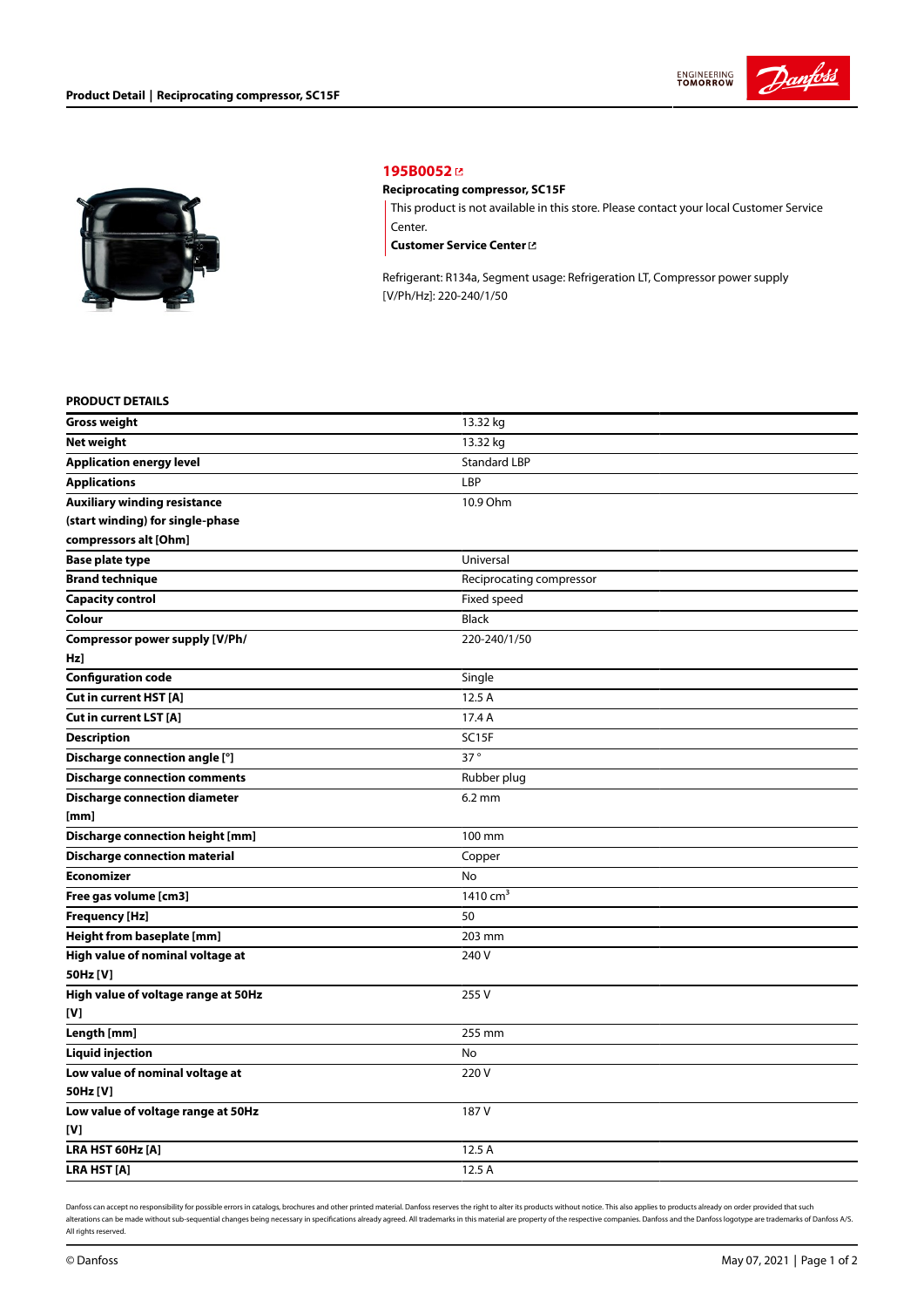



## **[195B0052](https://store.danfoss.com/en/Climate-Solutions-for-cooling/Compressors/Compressors-for-Refrigeration/Danfoss-Light-Commercial-Refrigeration-Compressors/Reciprocating-compressor%2C-SC15F/p/195B0052)**

## **Reciprocating compressor, SC15F**

This product is not available in this store. Please contact your local Customer Service Center.

**[Customer](https://store.danfoss.com/en/customer-service) Service Center**

Refrigerant: R134a, Segment usage: Refrigeration LT, Compressor power supply [V/Ph/Hz]: 220-240/1/50

#### **PRODUCT DETAILS**

| <b>Gross weight</b>                     | 13.32 kg                 |
|-----------------------------------------|--------------------------|
| <b>Net weight</b>                       | 13.32 kg                 |
| <b>Application energy level</b>         | <b>Standard LBP</b>      |
| <b>Applications</b>                     | LBP                      |
| <b>Auxiliary winding resistance</b>     | 10.9 Ohm                 |
| (start winding) for single-phase        |                          |
| compressors alt [Ohm]                   |                          |
| <b>Base plate type</b>                  | Universal                |
| <b>Brand technique</b>                  | Reciprocating compressor |
| <b>Capacity control</b>                 | Fixed speed              |
| Colour                                  | <b>Black</b>             |
| Compressor power supply [V/Ph/          | 220-240/1/50             |
| Hz]                                     |                          |
| <b>Configuration code</b>               | Single                   |
| <b>Cut in current HST [A]</b>           | 12.5 A                   |
| Cut in current LST [A]                  | 17.4 A                   |
| <b>Description</b>                      | SC15F                    |
| Discharge connection angle [°]          | 37°                      |
| <b>Discharge connection comments</b>    | Rubber plug              |
| <b>Discharge connection diameter</b>    | $6.2 \text{ mm}$         |
| [mm]                                    |                          |
| <b>Discharge connection height [mm]</b> | 100 mm                   |
| <b>Discharge connection material</b>    | Copper                   |
| <b>Economizer</b>                       | No                       |
| Free gas volume [cm3]                   | 1410 cm <sup>3</sup>     |
| Frequency [Hz]                          | 50                       |
| Height from baseplate [mm]              | 203 mm                   |
| High value of nominal voltage at        | 240 V                    |
| 50Hz [V]                                |                          |
| High value of voltage range at 50Hz     | 255V                     |
| [V]                                     |                          |
| Length [mm]                             | 255 mm                   |
| <b>Liquid injection</b>                 | No                       |
| Low value of nominal voltage at         | 220V                     |
| 50Hz [V]                                |                          |
| Low value of voltage range at 50Hz      | 187 V                    |
| [V]                                     |                          |
| LRA HST 60Hz [A]                        | 12.5 A                   |
| LRA HST [A]                             | 12.5 A                   |

Danfoss can accept no responsibility for possible errors in catalogs, brochures and other printed material. Danfoss reserves the right to alter its products without notice. This also applies to products already on order pr alterations can be made without sub-sequential changes being necessary in specifications already agreed. All trademarks in this material are property of the respective companies. Danfoss and the Danfoss logotype are tradem All rights reserved.